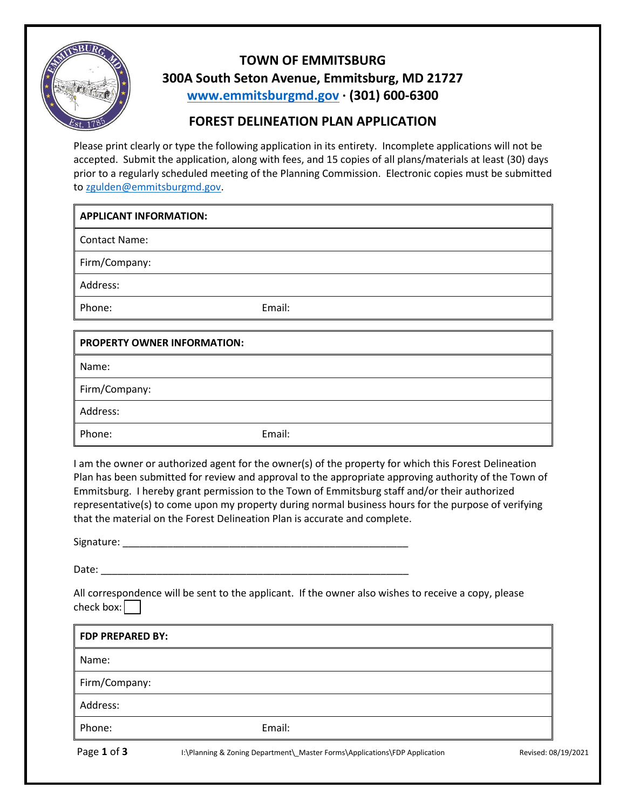

## **TOWN OF EMMITSBURG 300A South Seton Avenue, Emmitsburg, MD 21727 [www.emmitsburgmd.gov](http://www.emmitsburgmd.gov/) · (301) 600-6300**

## **FOREST DELINEATION PLAN APPLICATION**

Please print clearly or type the following application in its entirety. Incomplete applications will not be accepted. Submit the application, along with fees, and 15 copies of all plans/materials at least (30) days prior to a regularly scheduled meeting of the Planning Commission. Electronic copies must be submitted to [zgulden@emmitsburgmd.gov.](mailto:zgulden@emmitsburgmd.gov)

Contact Name:

Firm/Company:

Address:

Phone: Email:

| <b>PROPERTY OWNER INFORMATION:</b> |        |
|------------------------------------|--------|
| Name:                              |        |
| Firm/Company:                      |        |
| Address:                           |        |
| Phone:                             | Email: |

I am the owner or authorized agent for the owner(s) of the property for which this Forest Delineation Plan has been submitted for review and approval to the appropriate approving authority of the Town of Emmitsburg. I hereby grant permission to the Town of Emmitsburg staff and/or their authorized representative(s) to come upon my property during normal business hours for the purpose of verifying that the material on the Forest Delineation Plan is accurate and complete.

Signature: \_\_\_\_\_\_\_\_\_\_\_\_\_\_\_\_\_\_\_\_\_\_\_\_\_\_\_\_\_\_\_\_\_\_\_\_\_\_\_\_\_\_\_\_\_\_\_\_\_\_\_

Date:

All correspondence will be sent to the applicant. If the owner also wishes to receive a copy, please check box:

| <b>FDP PREPARED BY:</b> |                                                                            |                     |
|-------------------------|----------------------------------------------------------------------------|---------------------|
| Name:                   |                                                                            |                     |
| Firm/Company:           |                                                                            |                     |
| Address:                |                                                                            |                     |
| Phone:                  | Email:                                                                     |                     |
| Page 1 of 3             | I:\Planning & Zoning Department\ Master Forms\Applications\FDP Application | Revised: 08/19/2021 |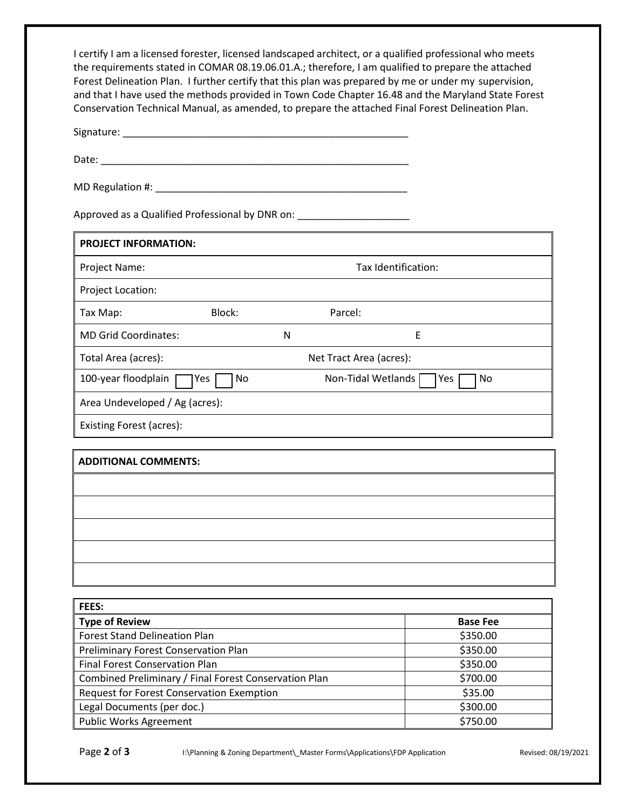I certify I am a licensed forester, licensed landscaped architect, or a qualified professional who meets the requirements stated in COMAR 08.19.06.01.A.; therefore, I am qualified to prepare the attached Forest Delineation Plan. I further certify that this plan was prepared by me or under my supervision, and that I have used the methods provided in Town Code Chapter 16.48 and the Maryland State Forest Conservation Technical Manual, as amended, to prepare the attached Final Forest Delineation Plan.

Signature: \_\_\_\_\_\_\_\_\_\_\_\_\_\_\_\_\_\_\_\_\_\_\_\_\_\_\_\_\_\_\_\_\_\_\_\_\_\_\_\_\_\_\_\_\_\_\_\_\_\_\_

Date: \_\_\_\_\_\_\_\_\_\_\_\_\_\_\_\_\_\_\_\_\_\_\_\_\_\_\_\_\_\_\_\_\_\_\_\_\_\_\_\_\_\_\_\_\_\_\_\_\_\_\_\_\_\_\_

MD Regulation #: \_\_\_\_\_\_\_\_\_\_\_\_\_\_\_\_\_\_\_\_\_\_\_\_\_\_\_\_\_\_\_\_\_\_\_\_\_\_\_\_\_\_\_\_\_

Approved as a Qualified Professional by DNR on: \_\_\_\_\_\_\_\_\_\_\_\_\_\_\_\_\_\_\_\_\_\_\_\_\_\_\_\_\_\_\_\_

| <b>PROJECT INFORMATION:</b>    |                                                 |                     |         |   |
|--------------------------------|-------------------------------------------------|---------------------|---------|---|
| Project Name:                  |                                                 | Tax Identification: |         |   |
| Project Location:              |                                                 |                     |         |   |
| Tax Map:                       | Block:                                          |                     | Parcel: |   |
| <b>MD Grid Coordinates:</b>    |                                                 | N                   |         | Ε |
| Total Area (acres):            | Net Tract Area (acres):                         |                     |         |   |
| 100-year floodplain            | Non-Tidal Wetlands<br>No<br>No.<br>ا Yes<br>Yes |                     |         |   |
| Area Undeveloped / Ag (acres): |                                                 |                     |         |   |
| Existing Forest (acres):       |                                                 |                     |         |   |
|                                |                                                 |                     |         |   |

| <b>ADDITIONAL COMMENTS:</b> |  |
|-----------------------------|--|
|                             |  |
|                             |  |
|                             |  |
|                             |  |
|                             |  |

| <b>FEES:</b>                                          |                 |
|-------------------------------------------------------|-----------------|
| <b>Type of Review</b>                                 | <b>Base Fee</b> |
| <b>Forest Stand Delineation Plan</b>                  | \$350.00        |
| Preliminary Forest Conservation Plan                  | \$350.00        |
| <b>Final Forest Conservation Plan</b>                 | \$350.00        |
| Combined Preliminary / Final Forest Conservation Plan | \$700.00        |
| Request for Forest Conservation Exemption             | \$35.00         |
| Legal Documents (per doc.)                            | \$300.00        |
| <b>Public Works Agreement</b>                         | \$750.00        |

Page 2 of 3<br>**Page 2 of 3 I:**\Planning & Zoning Department\\_Master Forms\Applications\FDP Application Revised: 08/19/2021